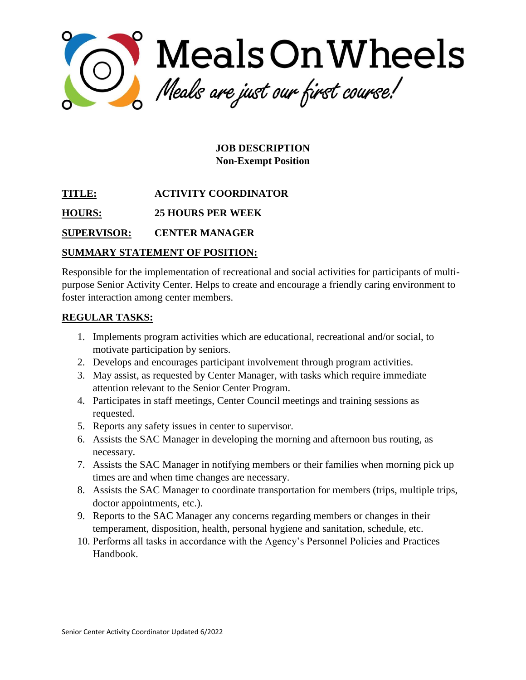

**JOB DESCRIPTION Non-Exempt Position**

**TITLE: ACTIVITY COORDINATOR** 

**HOURS: 25 HOURS PER WEEK**

**SUPERVISOR: CENTER MANAGER**

# **SUMMARY STATEMENT OF POSITION:**

Responsible for the implementation of recreational and social activities for participants of multipurpose Senior Activity Center. Helps to create and encourage a friendly caring environment to foster interaction among center members.

## **REGULAR TASKS:**

- 1. Implements program activities which are educational, recreational and/or social, to motivate participation by seniors.
- 2. Develops and encourages participant involvement through program activities.
- 3. May assist, as requested by Center Manager, with tasks which require immediate attention relevant to the Senior Center Program.
- 4. Participates in staff meetings, Center Council meetings and training sessions as requested.
- 5. Reports any safety issues in center to supervisor.
- 6. Assists the SAC Manager in developing the morning and afternoon bus routing, as necessary.
- 7. Assists the SAC Manager in notifying members or their families when morning pick up times are and when time changes are necessary.
- 8. Assists the SAC Manager to coordinate transportation for members (trips, multiple trips, doctor appointments, etc.).
- 9. Reports to the SAC Manager any concerns regarding members or changes in their temperament, disposition, health, personal hygiene and sanitation, schedule, etc.
- 10. Performs all tasks in accordance with the Agency's Personnel Policies and Practices Handbook.